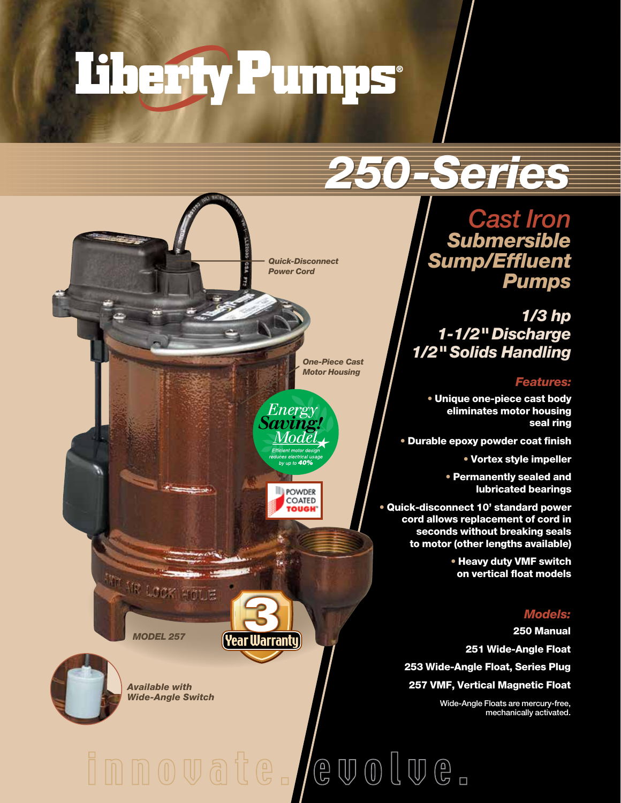# Therty Pumps

## *250-Series -Series*

*Cast Iron Submersible Sump/Effluent Pumps*

*1/3 hp 1-1/2" Discharge 1/2" Solids Handling*

#### *Features:*

• Unique one-piece cast body eliminates motor housing seal ring

• Durable epoxy powder coat finish

• Vortex style impeller

• Permanently sealed and lubricated bearings

• Quick-disconnect 10' standard power cord allows replacement of cord in seconds without breaking seals to motor (other lengths available)

> • Heavy duty VMF switch on vertical float models

#### *Models:*

250 Manual 251 Wide-Angle Float 253 Wide-Angle Float, Series Plug 257 VMF, Vertical Magnetic Float

Wide-Angle Floats are mercury-free, mechanically activated.

*Quick-Disconnect Power Cord*

> *One-Piece Cast Motor Housing*

Energy 'aving! Mode



Σö.

(Year Warranty

innovate. /evolve.

*MODEL 257*

*Available with Wide-Angle Switch*

AR LOOK HOLE